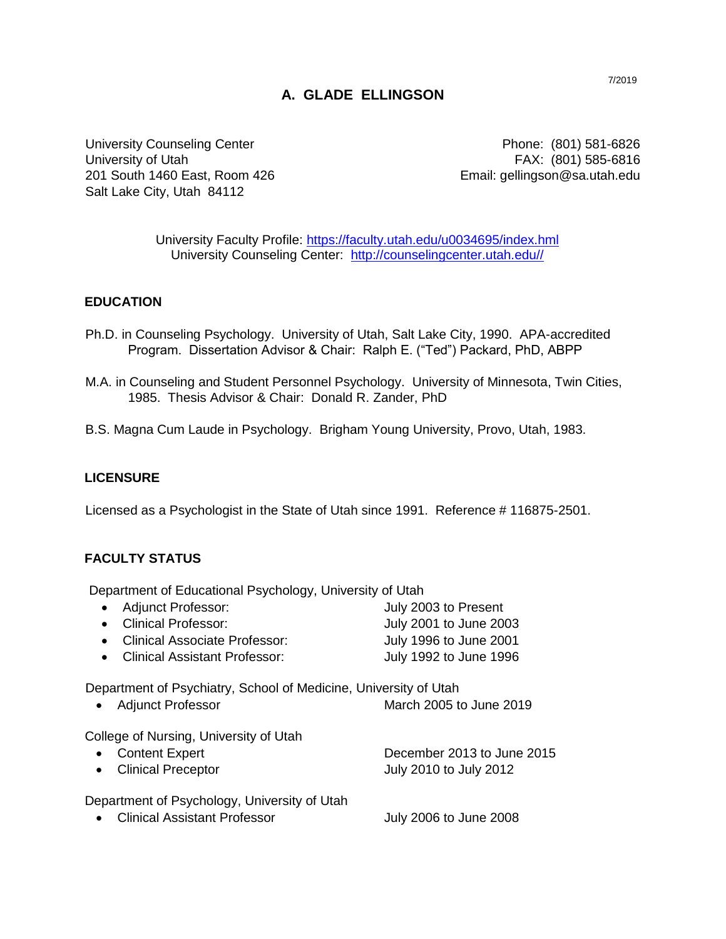# **A. GLADE ELLINGSON**

University Counseling Center **Phone: (801) 581-6826** University of Utah FAX: (801) 585-6816 201 South 1460 East, Room 426 Email: gellingson@sa.utah.edu Salt Lake City, Utah 84112

University Faculty Profile:<https://faculty.utah.edu/u0034695/index.hml> University Counseling Center: [http://counselingcenter.utah.edu//](http://counselingcenter.utah.edu/)

### **EDUCATION**

- Ph.D. in Counseling Psychology. University of Utah, Salt Lake City, 1990. APA-accredited Program. Dissertation Advisor & Chair: Ralph E. ("Ted") Packard, PhD, ABPP
- M.A. in Counseling and Student Personnel Psychology. University of Minnesota, Twin Cities, 1985. Thesis Advisor & Chair: Donald R. Zander, PhD
- B.S. Magna Cum Laude in Psychology. Brigham Young University, Provo, Utah, 1983.

#### **LICENSURE**

Licensed as a Psychologist in the State of Utah since 1991. Reference # 116875-2501.

#### **FACULTY STATUS**

Department of Educational Psychology, University of Utah

| • Adjunct Professor:            | July 2003 to Present   |
|---------------------------------|------------------------|
| • Clinical Professor:           | July 2001 to June 2003 |
| • Clinical Associate Professor: | July 1996 to June 2001 |
| • Clinical Assistant Professor: | July 1992 to June 1996 |

Department of Psychiatry, School of Medicine, University of Utah

|  | Adjunct Professor | March 2005 to June 2019 |
|--|-------------------|-------------------------|
|--|-------------------|-------------------------|

College of Nursing, University of Utah

| • Content Expert                                                                                                                                                                                                                                                                                                                                                                                                                  | December 2013 to June 2015 |
|-----------------------------------------------------------------------------------------------------------------------------------------------------------------------------------------------------------------------------------------------------------------------------------------------------------------------------------------------------------------------------------------------------------------------------------|----------------------------|
| • Clinical Preceptor                                                                                                                                                                                                                                                                                                                                                                                                              | July 2010 to July 2012     |
| Department of Psychology, University of Utah<br>$\bigcap \{x_i : i = 1, 1, \ldots, i = 1, \ldots, i = 1, \ldots, i = 1, \ldots, i = 1, \ldots, i = 1, \ldots, i = 1, \ldots, i = 1, \ldots, i = 1, \ldots, i = 1, \ldots, i = 1, \ldots, i = 1, \ldots, i = 1, \ldots, i = 1, \ldots, i = 1, \ldots, i = 1, \ldots, i = 1, \ldots, i = 1, \ldots, i = 1, \ldots, i = 1, \ldots, i = 1, \ldots, i = 1, \ldots, i = 1, \ldots, i =$ | $1.1.00001 - 1.0200$       |

Clinical Assistant Professor July 2006 to June 2008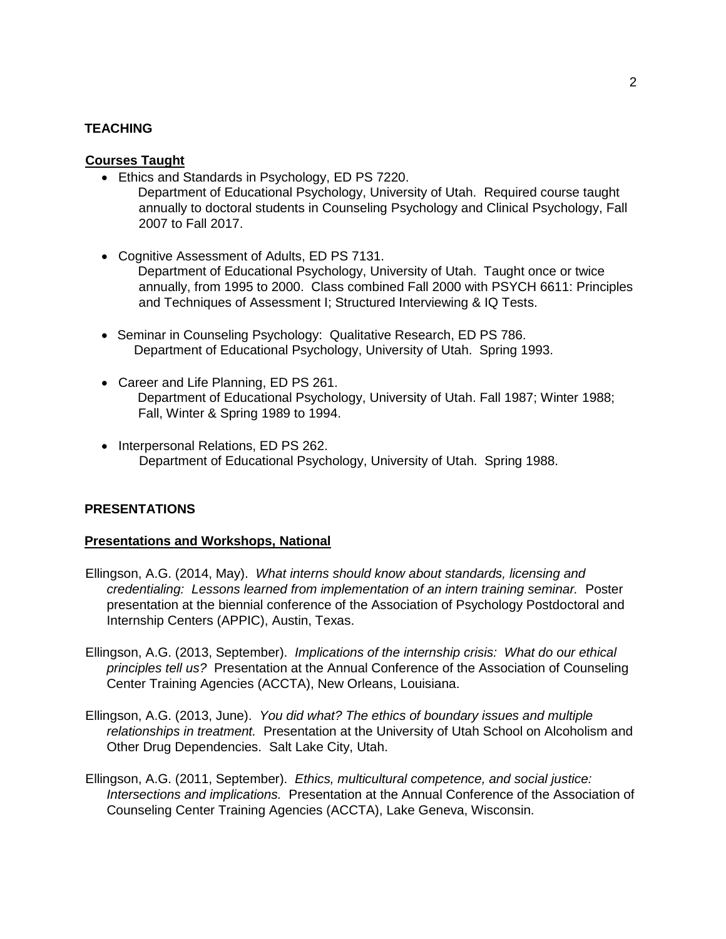#### **TEACHING**

#### **Courses Taught**

- Ethics and Standards in Psychology, ED PS 7220.
	- Department of Educational Psychology, University of Utah. Required course taught annually to doctoral students in Counseling Psychology and Clinical Psychology, Fall 2007 to Fall 2017.
- Cognitive Assessment of Adults, ED PS 7131. Department of Educational Psychology, University of Utah. Taught once or twice annually, from 1995 to 2000. Class combined Fall 2000 with PSYCH 6611: Principles and Techniques of Assessment I; Structured Interviewing & IQ Tests.
- Seminar in Counseling Psychology: Qualitative Research, ED PS 786. Department of Educational Psychology, University of Utah. Spring 1993.
- Career and Life Planning, ED PS 261. Department of Educational Psychology, University of Utah. Fall 1987; Winter 1988; Fall, Winter & Spring 1989 to 1994.
- Interpersonal Relations, ED PS 262. Department of Educational Psychology, University of Utah. Spring 1988.

### **PRESENTATIONS**

### **Presentations and Workshops, National**

- Ellingson, A.G. (2014, May). *What interns should know about standards, licensing and credentialing: Lessons learned from implementation of an intern training seminar.* Poster presentation at the biennial conference of the Association of Psychology Postdoctoral and Internship Centers (APPIC), Austin, Texas.
- Ellingson, A.G. (2013, September). *Implications of the internship crisis: What do our ethical principles tell us?* Presentation at the Annual Conference of the Association of Counseling Center Training Agencies (ACCTA), New Orleans, Louisiana.
- Ellingson, A.G. (2013, June). *You did what? The ethics of boundary issues and multiple relationships in treatment.* Presentation at the University of Utah School on Alcoholism and Other Drug Dependencies. Salt Lake City, Utah.
- Ellingson, A.G. (2011, September). *Ethics, multicultural competence, and social justice: Intersections and implications.* Presentation at the Annual Conference of the Association of Counseling Center Training Agencies (ACCTA), Lake Geneva, Wisconsin.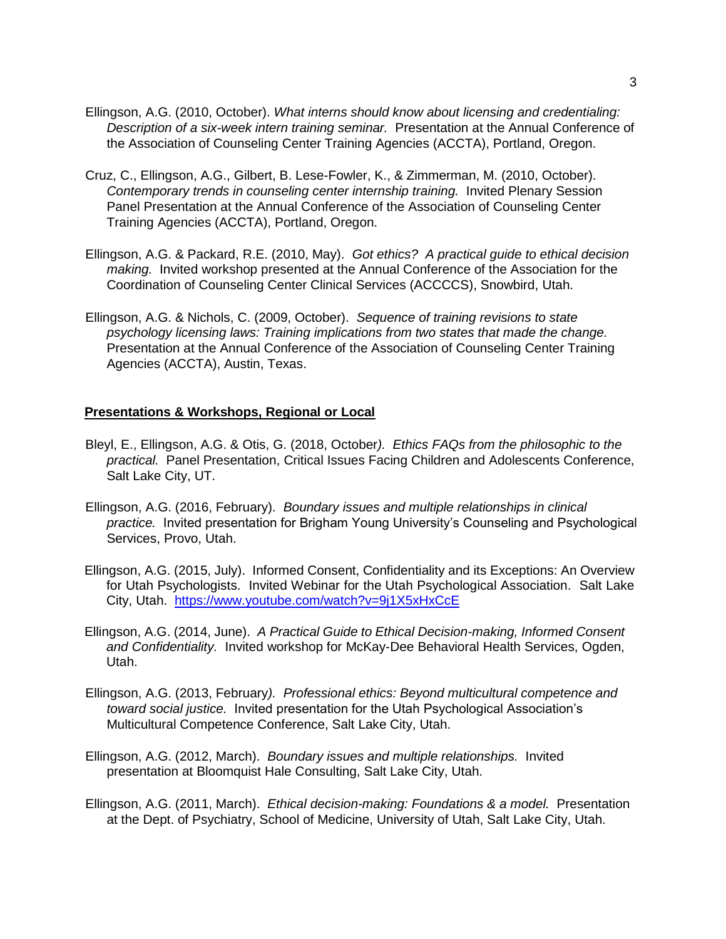- Ellingson, A.G. (2010, October). *What interns should know about licensing and credentialing: Description of a six-week intern training seminar.* Presentation at the Annual Conference of the Association of Counseling Center Training Agencies (ACCTA), Portland, Oregon.
- Cruz, C., Ellingson, A.G., Gilbert, B. Lese-Fowler, K., & Zimmerman, M. (2010, October). *Contemporary trends in counseling center internship training.* Invited Plenary Session Panel Presentation at the Annual Conference of the Association of Counseling Center Training Agencies (ACCTA), Portland, Oregon.
- Ellingson, A.G. & Packard, R.E. (2010, May). *Got ethics? A practical guide to ethical decision making.* Invited workshop presented at the Annual Conference of the Association for the Coordination of Counseling Center Clinical Services (ACCCCS), Snowbird, Utah.
- Ellingson, A.G. & Nichols, C. (2009, October). *Sequence of training revisions to state psychology licensing laws: Training implications from two states that made the change.* Presentation at the Annual Conference of the Association of Counseling Center Training Agencies (ACCTA), Austin, Texas.

#### **Presentations & Workshops, Regional or Local**

- Bleyl, E., Ellingson, A.G. & Otis, G. (2018, October*). Ethics FAQs from the philosophic to the practical.* Panel Presentation, Critical Issues Facing Children and Adolescents Conference, Salt Lake City, UT.
- Ellingson, A.G. (2016, February). *Boundary issues and multiple relationships in clinical practice.* Invited presentation for Brigham Young University's Counseling and Psychological Services, Provo, Utah.
- Ellingson, A.G. (2015, July). Informed Consent, Confidentiality and its Exceptions: An Overview for Utah Psychologists. Invited Webinar for the Utah Psychological Association. Salt Lake City, Utah. <https://www.youtube.com/watch?v=9j1X5xHxCcE>
- Ellingson, A.G. (2014, June). *A Practical Guide to Ethical Decision-making, Informed Consent and Confidentiality.* Invited workshop for McKay-Dee Behavioral Health Services, Ogden, Utah.
- Ellingson, A.G. (2013, February*). Professional ethics: Beyond multicultural competence and toward social justice.* Invited presentation for the Utah Psychological Association's Multicultural Competence Conference, Salt Lake City, Utah.
- Ellingson, A.G. (2012, March). *Boundary issues and multiple relationships.* Invited presentation at Bloomquist Hale Consulting, Salt Lake City, Utah.
- Ellingson, A.G. (2011, March). *Ethical decision-making: Foundations & a model.* Presentation at the Dept. of Psychiatry, School of Medicine, University of Utah, Salt Lake City, Utah.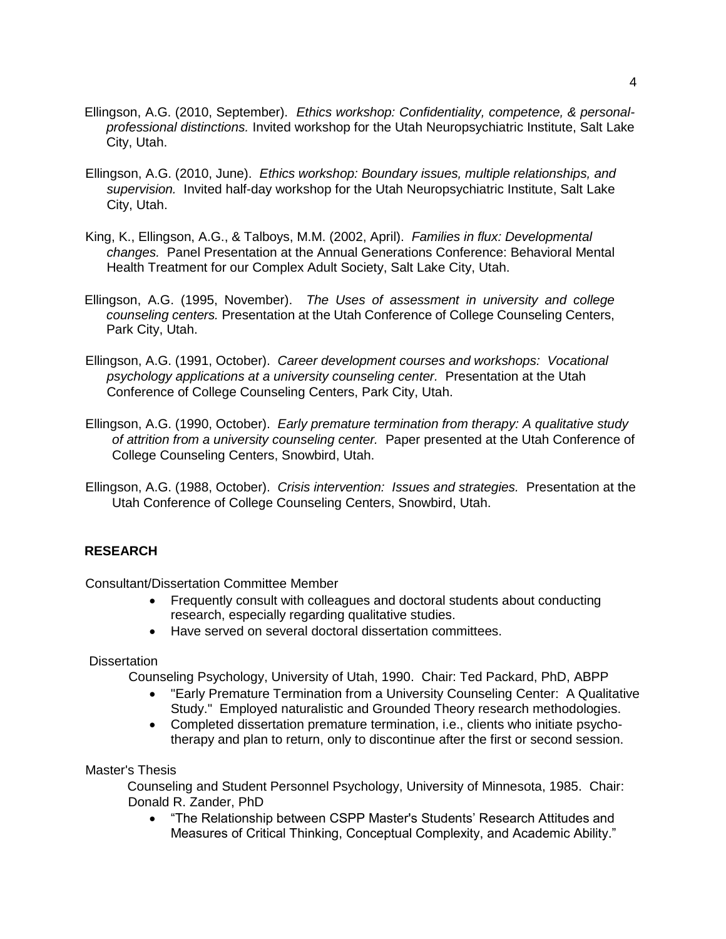- Ellingson, A.G. (2010, September). *Ethics workshop: Confidentiality, competence, & personalprofessional distinctions.* Invited workshop for the Utah Neuropsychiatric Institute, Salt Lake City, Utah.
- Ellingson, A.G. (2010, June). *Ethics workshop: Boundary issues, multiple relationships, and supervision.* Invited half-day workshop for the Utah Neuropsychiatric Institute, Salt Lake City, Utah.
- King, K., Ellingson, A.G., & Talboys, M.M. (2002, April). *Families in flux: Developmental changes.* Panel Presentation at the Annual Generations Conference: Behavioral Mental Health Treatment for our Complex Adult Society, Salt Lake City, Utah.
- Ellingson, A.G. (1995, November). *The Uses of assessment in university and college counseling centers.* Presentation at the Utah Conference of College Counseling Centers, Park City, Utah.
- Ellingson, A.G. (1991, October). *Career development courses and workshops: Vocational psychology applications at a university counseling center.* Presentation at the Utah Conference of College Counseling Centers, Park City, Utah.
- Ellingson, A.G. (1990, October). *Early premature termination from therapy: A qualitative study of attrition from a university counseling center.* Paper presented at the Utah Conference of College Counseling Centers, Snowbird, Utah.
- Ellingson, A.G. (1988, October). *Crisis intervention: Issues and strategies.* Presentation at the Utah Conference of College Counseling Centers, Snowbird, Utah.

## **RESEARCH**

Consultant/Dissertation Committee Member

- Frequently consult with colleagues and doctoral students about conducting research, especially regarding qualitative studies.
- Have served on several doctoral dissertation committees.

### **Dissertation**

Counseling Psychology, University of Utah, 1990. Chair: Ted Packard, PhD, ABPP

- "Early Premature Termination from a University Counseling Center: A Qualitative Study." Employed naturalistic and Grounded Theory research methodologies.
- Completed dissertation premature termination, i.e., clients who initiate psychotherapy and plan to return, only to discontinue after the first or second session.

Master's Thesis

Counseling and Student Personnel Psychology, University of Minnesota, 1985. Chair: Donald R. Zander, PhD

• "The Relationship between CSPP Master's Students' Research Attitudes and Measures of Critical Thinking, Conceptual Complexity, and Academic Ability."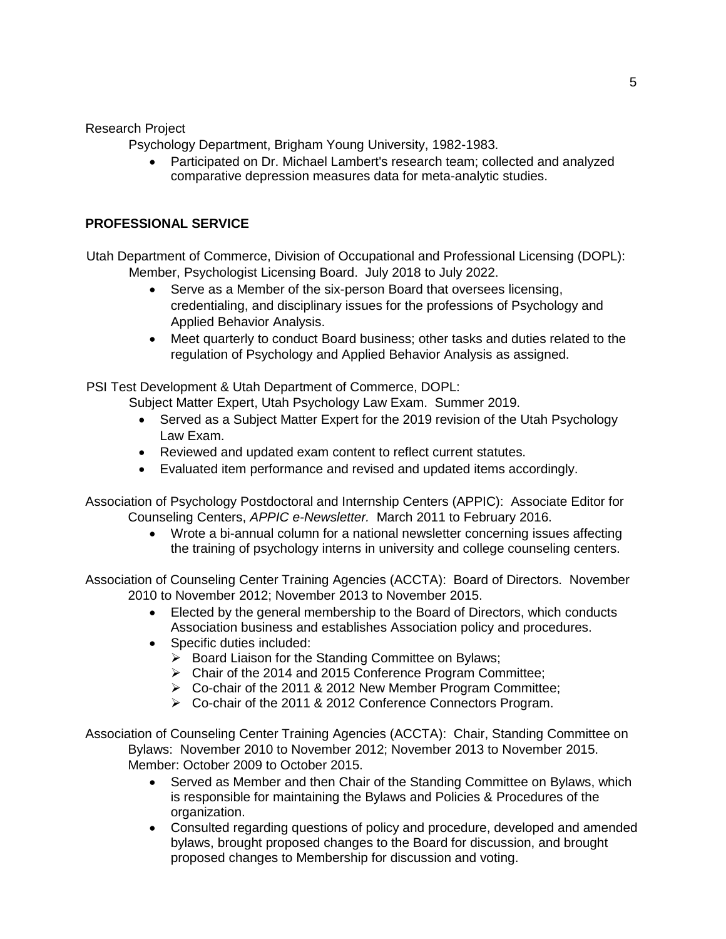Research Project

Psychology Department, Brigham Young University, 1982-1983.

 Participated on Dr. Michael Lambert's research team; collected and analyzed comparative depression measures data for meta-analytic studies.

## **PROFESSIONAL SERVICE**

Utah Department of Commerce, Division of Occupational and Professional Licensing (DOPL): Member, Psychologist Licensing Board. July 2018 to July 2022.

- Serve as a Member of the six-person Board that oversees licensing, credentialing, and disciplinary issues for the professions of Psychology and Applied Behavior Analysis.
- Meet quarterly to conduct Board business; other tasks and duties related to the regulation of Psychology and Applied Behavior Analysis as assigned.

PSI Test Development & Utah Department of Commerce, DOPL:

Subject Matter Expert, Utah Psychology Law Exam. Summer 2019.

- Served as a Subject Matter Expert for the 2019 revision of the Utah Psychology Law Exam.
- Reviewed and updated exam content to reflect current statutes.
- Evaluated item performance and revised and updated items accordingly.

Association of Psychology Postdoctoral and Internship Centers (APPIC): Associate Editor for Counseling Centers, *APPIC e-Newsletter.* March 2011 to February 2016.

> Wrote a bi-annual column for a national newsletter concerning issues affecting the training of psychology interns in university and college counseling centers.

Association of Counseling Center Training Agencies (ACCTA): Board of Directors. November 2010 to November 2012; November 2013 to November 2015.

- Elected by the general membership to the Board of Directors, which conducts Association business and establishes Association policy and procedures.
- Specific duties included:
	- $\triangleright$  Board Liaison for the Standing Committee on Bylaws;
	- Chair of the 2014 and 2015 Conference Program Committee;
	- Co-chair of the 2011 & 2012 New Member Program Committee;
	- Co-chair of the 2011 & 2012 Conference Connectors Program.

Association of Counseling Center Training Agencies (ACCTA): Chair, Standing Committee on Bylaws: November 2010 to November 2012; November 2013 to November 2015. Member: October 2009 to October 2015.

- Served as Member and then Chair of the Standing Committee on Bylaws, which is responsible for maintaining the Bylaws and Policies & Procedures of the organization.
- Consulted regarding questions of policy and procedure, developed and amended bylaws, brought proposed changes to the Board for discussion, and brought proposed changes to Membership for discussion and voting.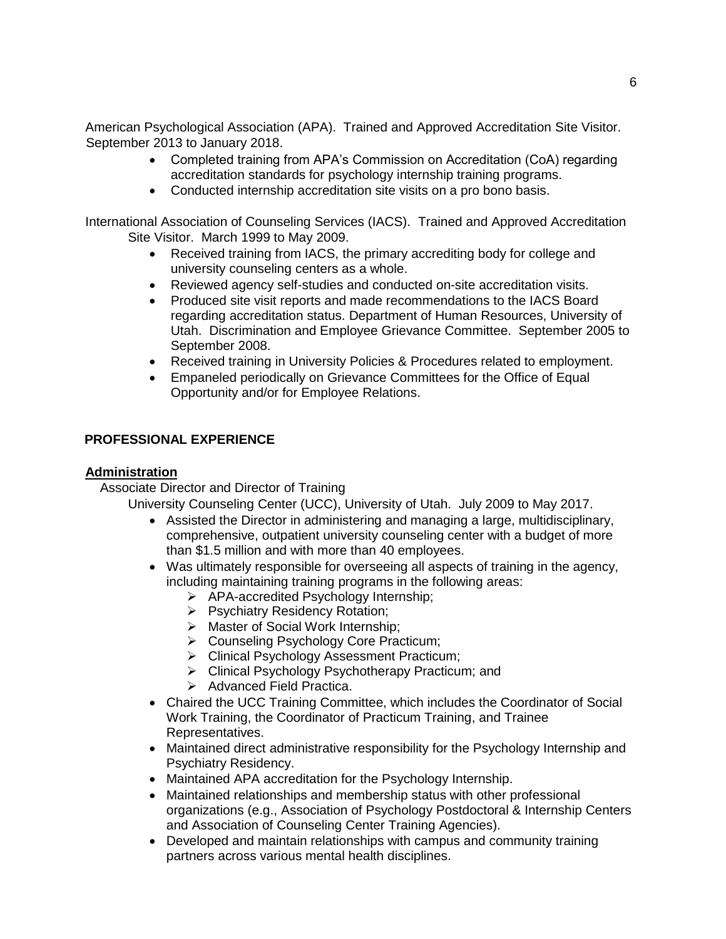American Psychological Association (APA). Trained and Approved Accreditation Site Visitor. September 2013 to January 2018.

- Completed training from APA's Commission on Accreditation (CoA) regarding accreditation standards for psychology internship training programs.
- Conducted internship accreditation site visits on a pro bono basis.

International Association of Counseling Services (IACS). Trained and Approved Accreditation Site Visitor. March 1999 to May 2009.

- Received training from IACS, the primary accrediting body for college and university counseling centers as a whole.
- Reviewed agency self-studies and conducted on-site accreditation visits.
- Produced site visit reports and made recommendations to the IACS Board regarding accreditation status. Department of Human Resources, University of Utah. Discrimination and Employee Grievance Committee. September 2005 to September 2008.
- Received training in University Policies & Procedures related to employment.
- Empaneled periodically on Grievance Committees for the Office of Equal Opportunity and/or for Employee Relations.

#### **PROFESSIONAL EXPERIENCE**

#### **Administration**

Associate Director and Director of Training

University Counseling Center (UCC), University of Utah. July 2009 to May 2017.

- Assisted the Director in administering and managing a large, multidisciplinary, comprehensive, outpatient university counseling center with a budget of more than \$1.5 million and with more than 40 employees.
- Was ultimately responsible for overseeing all aspects of training in the agency, including maintaining training programs in the following areas:
	- APA-accredited Psychology Internship;
	- ▶ Psychiatry Residency Rotation;
	- > Master of Social Work Internship;
	- ▶ Counseling Psychology Core Practicum;
	- Clinical Psychology Assessment Practicum;
	- ▶ Clinical Psychology Psychotherapy Practicum; and
	- $\triangleright$  Advanced Field Practica.
- Chaired the UCC Training Committee, which includes the Coordinator of Social Work Training, the Coordinator of Practicum Training, and Trainee Representatives.
- Maintained direct administrative responsibility for the Psychology Internship and Psychiatry Residency.
- Maintained APA accreditation for the Psychology Internship.
- Maintained relationships and membership status with other professional organizations (e.g., Association of Psychology Postdoctoral & Internship Centers and Association of Counseling Center Training Agencies).
- Developed and maintain relationships with campus and community training partners across various mental health disciplines.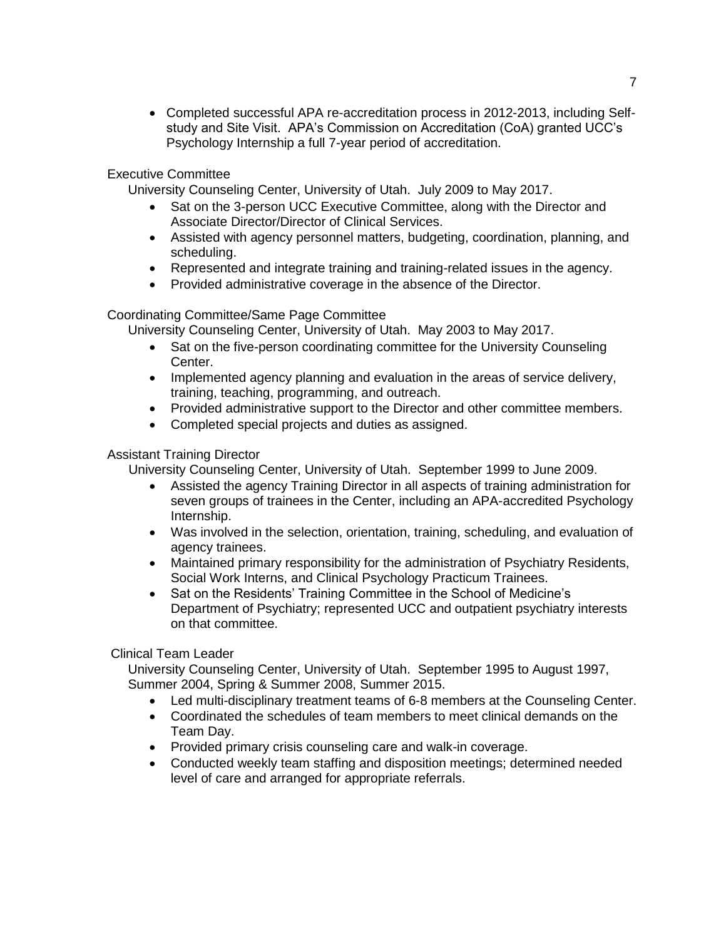Completed successful APA re-accreditation process in 2012-2013, including Selfstudy and Site Visit. APA's Commission on Accreditation (CoA) granted UCC's Psychology Internship a full 7-year period of accreditation.

### Executive Committee

University Counseling Center, University of Utah. July 2009 to May 2017.

- Sat on the 3-person UCC Executive Committee, along with the Director and Associate Director/Director of Clinical Services.
- Assisted with agency personnel matters, budgeting, coordination, planning, and scheduling.
- Represented and integrate training and training-related issues in the agency.
- Provided administrative coverage in the absence of the Director.

## Coordinating Committee/Same Page Committee

University Counseling Center, University of Utah. May 2003 to May 2017.

- Sat on the five-person coordinating committee for the University Counseling Center.
- Implemented agency planning and evaluation in the areas of service delivery, training, teaching, programming, and outreach.
- Provided administrative support to the Director and other committee members.
- Completed special projects and duties as assigned.

### Assistant Training Director

University Counseling Center, University of Utah. September 1999 to June 2009.

- Assisted the agency Training Director in all aspects of training administration for seven groups of trainees in the Center, including an APA-accredited Psychology Internship.
- Was involved in the selection, orientation, training, scheduling, and evaluation of agency trainees.
- Maintained primary responsibility for the administration of Psychiatry Residents, Social Work Interns, and Clinical Psychology Practicum Trainees.
- Sat on the Residents' Training Committee in the School of Medicine's Department of Psychiatry; represented UCC and outpatient psychiatry interests on that committee.

### Clinical Team Leader

University Counseling Center, University of Utah. September 1995 to August 1997, Summer 2004, Spring & Summer 2008, Summer 2015.

- Led multi-disciplinary treatment teams of 6-8 members at the Counseling Center.
- Coordinated the schedules of team members to meet clinical demands on the Team Day.
- Provided primary crisis counseling care and walk-in coverage.
- Conducted weekly team staffing and disposition meetings; determined needed level of care and arranged for appropriate referrals.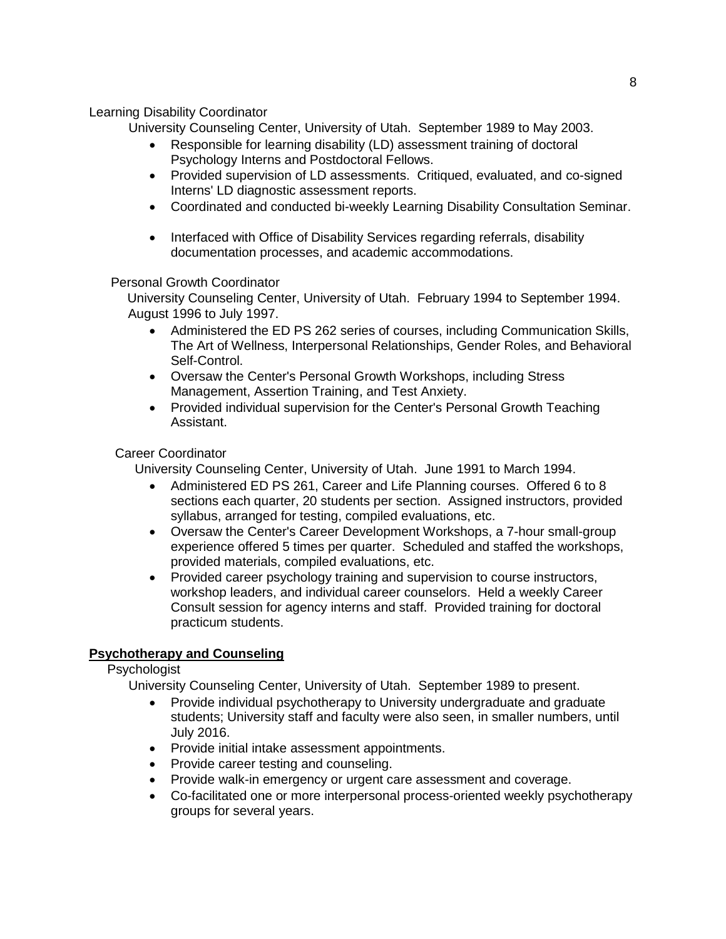### Learning Disability Coordinator

University Counseling Center, University of Utah. September 1989 to May 2003.

- Responsible for learning disability (LD) assessment training of doctoral Psychology Interns and Postdoctoral Fellows.
- Provided supervision of LD assessments. Critiqued, evaluated, and co-signed Interns' LD diagnostic assessment reports.
- Coordinated and conducted bi-weekly Learning Disability Consultation Seminar.
- Interfaced with Office of Disability Services regarding referrals, disability documentation processes, and academic accommodations.

#### Personal Growth Coordinator

University Counseling Center, University of Utah. February 1994 to September 1994. August 1996 to July 1997.

- Administered the ED PS 262 series of courses, including Communication Skills, The Art of Wellness, Interpersonal Relationships, Gender Roles, and Behavioral Self-Control.
- Oversaw the Center's Personal Growth Workshops, including Stress Management, Assertion Training, and Test Anxiety.
- Provided individual supervision for the Center's Personal Growth Teaching Assistant.

#### Career Coordinator

University Counseling Center, University of Utah. June 1991 to March 1994.

- Administered ED PS 261, Career and Life Planning courses. Offered 6 to 8 sections each quarter, 20 students per section. Assigned instructors, provided syllabus, arranged for testing, compiled evaluations, etc.
- Oversaw the Center's Career Development Workshops, a 7-hour small-group experience offered 5 times per quarter. Scheduled and staffed the workshops, provided materials, compiled evaluations, etc.
- Provided career psychology training and supervision to course instructors, workshop leaders, and individual career counselors. Held a weekly Career Consult session for agency interns and staff. Provided training for doctoral practicum students.

### **Psychotherapy and Counseling**

#### Psychologist

University Counseling Center, University of Utah. September 1989 to present.

- Provide individual psychotherapy to University undergraduate and graduate students; University staff and faculty were also seen, in smaller numbers, until July 2016.
- Provide initial intake assessment appointments.
- Provide career testing and counseling.
- Provide walk-in emergency or urgent care assessment and coverage.
- Co-facilitated one or more interpersonal process-oriented weekly psychotherapy groups for several years.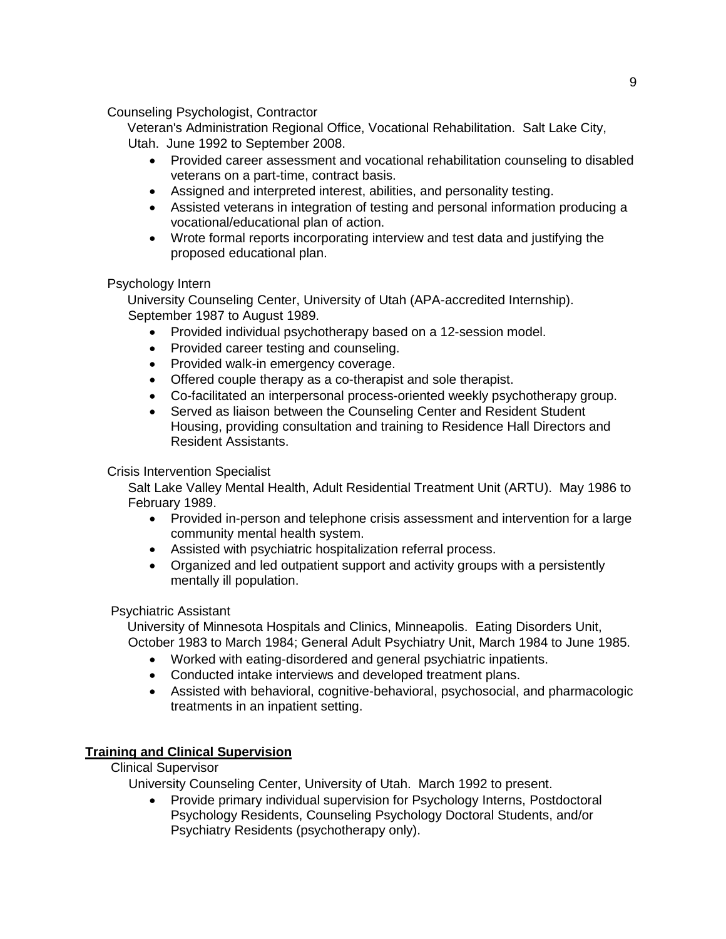### Counseling Psychologist, Contractor

Veteran's Administration Regional Office, Vocational Rehabilitation. Salt Lake City, Utah. June 1992 to September 2008.

- Provided career assessment and vocational rehabilitation counseling to disabled veterans on a part-time, contract basis.
- Assigned and interpreted interest, abilities, and personality testing.
- Assisted veterans in integration of testing and personal information producing a vocational/educational plan of action.
- Wrote formal reports incorporating interview and test data and justifying the proposed educational plan.

## Psychology Intern

University Counseling Center, University of Utah (APA-accredited Internship). September 1987 to August 1989.

- Provided individual psychotherapy based on a 12-session model.
- Provided career testing and counseling.
- Provided walk-in emergency coverage.
- Offered couple therapy as a co-therapist and sole therapist.
- Co-facilitated an interpersonal process-oriented weekly psychotherapy group.
- Served as liaison between the Counseling Center and Resident Student Housing, providing consultation and training to Residence Hall Directors and Resident Assistants.

### Crisis Intervention Specialist

Salt Lake Valley Mental Health, Adult Residential Treatment Unit (ARTU). May 1986 to February 1989.

- Provided in-person and telephone crisis assessment and intervention for a large community mental health system.
- Assisted with psychiatric hospitalization referral process.
- Organized and led outpatient support and activity groups with a persistently mentally ill population.

### Psychiatric Assistant

University of Minnesota Hospitals and Clinics, Minneapolis. Eating Disorders Unit, October 1983 to March 1984; General Adult Psychiatry Unit, March 1984 to June 1985.

- Worked with eating-disordered and general psychiatric inpatients.
- Conducted intake interviews and developed treatment plans.
- Assisted with behavioral, cognitive-behavioral, psychosocial, and pharmacologic treatments in an inpatient setting.

## **Training and Clinical Supervision**

### Clinical Supervisor

University Counseling Center, University of Utah. March 1992 to present.

 Provide primary individual supervision for Psychology Interns, Postdoctoral Psychology Residents, Counseling Psychology Doctoral Students, and/or Psychiatry Residents (psychotherapy only).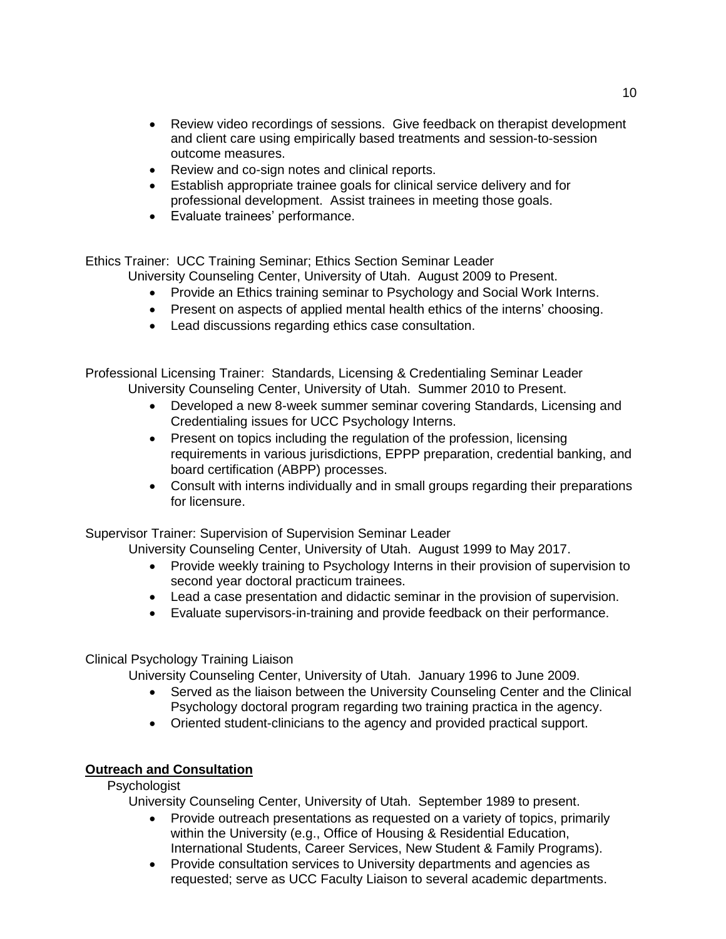- Review video recordings of sessions. Give feedback on therapist development and client care using empirically based treatments and session-to-session outcome measures.
- Review and co-sign notes and clinical reports.
- Establish appropriate trainee goals for clinical service delivery and for professional development. Assist trainees in meeting those goals.
- Evaluate trainees' performance.

Ethics Trainer: UCC Training Seminar; Ethics Section Seminar Leader

University Counseling Center, University of Utah. August 2009 to Present.

- Provide an Ethics training seminar to Psychology and Social Work Interns.
- Present on aspects of applied mental health ethics of the interns' choosing.
- Lead discussions regarding ethics case consultation.

Professional Licensing Trainer: Standards, Licensing & Credentialing Seminar Leader University Counseling Center, University of Utah. Summer 2010 to Present.

- Developed a new 8-week summer seminar covering Standards, Licensing and Credentialing issues for UCC Psychology Interns.
- Present on topics including the regulation of the profession, licensing requirements in various jurisdictions, EPPP preparation, credential banking, and board certification (ABPP) processes.
- Consult with interns individually and in small groups regarding their preparations for licensure.

Supervisor Trainer: Supervision of Supervision Seminar Leader

University Counseling Center, University of Utah. August 1999 to May 2017.

- Provide weekly training to Psychology Interns in their provision of supervision to second year doctoral practicum trainees.
- Lead a case presentation and didactic seminar in the provision of supervision.
- Evaluate supervisors-in-training and provide feedback on their performance.

### Clinical Psychology Training Liaison

University Counseling Center, University of Utah. January 1996 to June 2009.

- Served as the liaison between the University Counseling Center and the Clinical Psychology doctoral program regarding two training practica in the agency.
- Oriented student-clinicians to the agency and provided practical support.

### **Outreach and Consultation**

### Psychologist

University Counseling Center, University of Utah. September 1989 to present.

- Provide outreach presentations as requested on a variety of topics, primarily within the University (e.g., Office of Housing & Residential Education, International Students, Career Services, New Student & Family Programs).
- Provide consultation services to University departments and agencies as requested; serve as UCC Faculty Liaison to several academic departments.